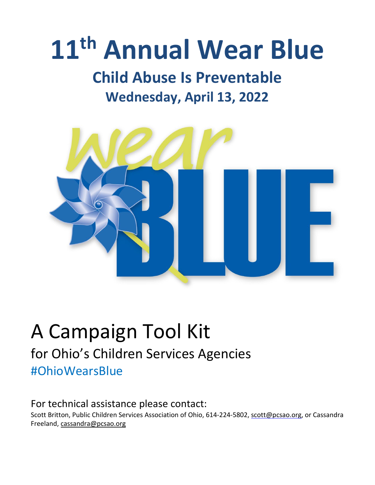# **11th Annual Wear Blue**

### **Child Abuse Is Preventable Wednesday, April 13, 2022**



### A Campaign Tool Kit for Ohio's Children Services Agencies #OhioWearsBlue

#### For technical assistance please contact:

Scott Britton, Public Children Services Association of Ohio, 614-224-5802, [scott@pcsao.org,](mailto:scott@pcsao.org) or Cassandra Freeland, [cassandra@pcsao.org](mailto:cassandra@pcsao.org)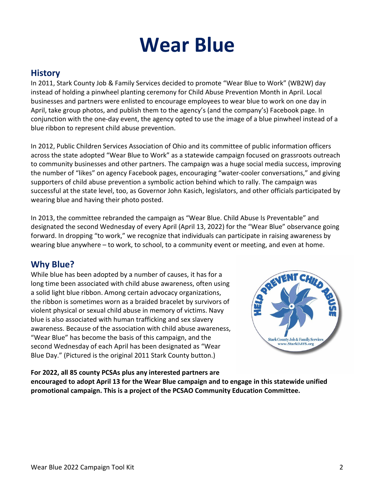## **Wear Blue**

#### **History**

In 2011, Stark County Job & Family Services decided to promote "Wear Blue to Work" (WB2W) day instead of holding a pinwheel planting ceremony for Child Abuse Prevention Month in April. Local businesses and partners were enlisted to encourage employees to wear blue to work on one day in April, take group photos, and publish them to the agency's (and the company's) Facebook page. In conjunction with the one-day event, the agency opted to use the image of a blue pinwheel instead of a blue ribbon to represent child abuse prevention.

In 2012, Public Children Services Association of Ohio and its committee of public information officers across the state adopted "Wear Blue to Work" as a statewide campaign focused on grassroots outreach to community businesses and other partners. The campaign was a huge social media success, improving the number of "likes" on agency Facebook pages, encouraging "water-cooler conversations," and giving supporters of child abuse prevention a symbolic action behind which to rally. The campaign was successful at the state level, too, as Governor John Kasich, legislators, and other officials participated by wearing blue and having their photo posted.

In 2013, the committee rebranded the campaign as "Wear Blue. Child Abuse Is Preventable" and designated the second Wednesday of every April (April 13, 2022) for the "Wear Blue" observance going forward. In dropping "to work," we recognize that individuals can participate in raising awareness by wearing blue anywhere – to work, to school, to a community event or meeting, and even at home.

#### **Why Blue?**

While blue has been adopted by a number of causes, it has for a long time been associated with child abuse awareness, often using a solid light blue ribbon. Among certain advocacy organizations, the ribbon is sometimes worn as a braided bracelet by survivors of violent physical or sexual child abuse in memory of victims. Navy blue is also associated with human trafficking and sex slavery awareness. Because of the association with child abuse awareness, "Wear Blue" has become the basis of this campaign, and the second Wednesday of each April has been designated as "Wear Blue Day." (Pictured is the original 2011 Stark County button.)



**For 2022, all 85 county PCSAs plus any interested partners are**

**encouraged to adopt April 13 for the Wear Blue campaign and to engage in this statewide unified promotional campaign. This is a project of the PCSAO Community Education Committee.**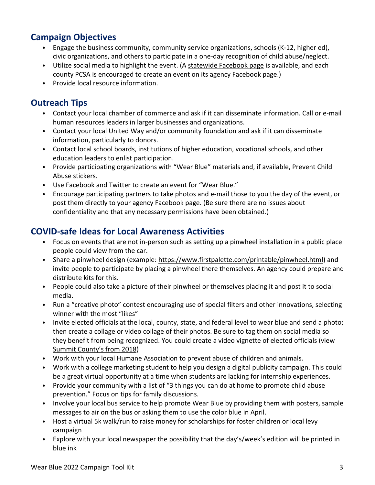#### **Campaign Objectives**

- Engage the business community, community service organizations, schools (K-12, higher ed), civic organizations, and others to participate in a one-day recognition of child abuse/neglect.
- Utilize social media to highlight the event. (A [statewide](http://www.facebook.com/WearBlueOhio) Facebook page is available, and each county PCSA is encouraged to create an event on its agency Facebook page.)
- Provide local resource information.

#### **Outreach Tips**

- Contact your local chamber of commerce and ask if it can disseminate information. Call or e-mail human resources leaders in larger businesses and organizations.
- Contact your local United Way and/or community foundation and ask if it can disseminate information, particularly to donors.
- Contact local school boards, institutions of higher education, vocational schools, and other education leaders to enlist participation.
- Provide participating organizations with "Wear Blue" materials and, if available, Prevent Child Abuse stickers.
- Use Facebook and Twitter to create an event for "Wear Blue."
- Encourage participating partners to take photos and e-mail those to you the day of the event, or post them directly to your agency Facebook page. (Be sure there are no issues about confidentiality and that any necessary permissions have been obtained.)

#### **COVID-safe Ideas for Local Awareness Activities**

- Focus on events that are not in-person such as setting up a pinwheel installation in a public place people could view from the car.
- Share a pinwheel design (example: [https://www.firstpalette.com/printable/pinwheel.html\)](https://www.firstpalette.com/printable/pinwheel.html) and invite people to participate by placing a pinwheel there themselves. An agency could prepare and distribute kits for this.
- People could also take a picture of their pinwheel or themselves placing it and post it to social media.
- Run a "creative photo" contest encouraging use of special filters and other innovations, selecting winner with the most "likes"
- Invite elected officials at the local, county, state, and federal level to wear blue and send a photo; then create a collage or video collage of their photos. Be sure to tag them on social media so they benefit from being recognized. You could create a video vignette of elected officials [\(view](https://www.youtube.com/watch?v=YwPWJ6JHSAo&t=3s) Summit [County's](https://www.youtube.com/watch?v=YwPWJ6JHSAo&t=3s) from 2018)
- Work with your local Humane Association to prevent abuse of children and animals.
- Work with a college marketing student to help you design a digital publicity campaign. This could be a great virtual opportunity at a time when students are lacking for internship experiences.
- Provide your community with a list of "3 things you can do at home to promote child abuse prevention." Focus on tips for family discussions.
- Involve your local bus service to help promote Wear Blue by providing them with posters, sample messages to air on the bus or asking them to use the color blue in April.
- Host a virtual 5k walk/run to raise money for scholarships for foster children or local levy campaign
- Explore with your local newspaper the possibility that the day's/week's edition will be printed in blue ink